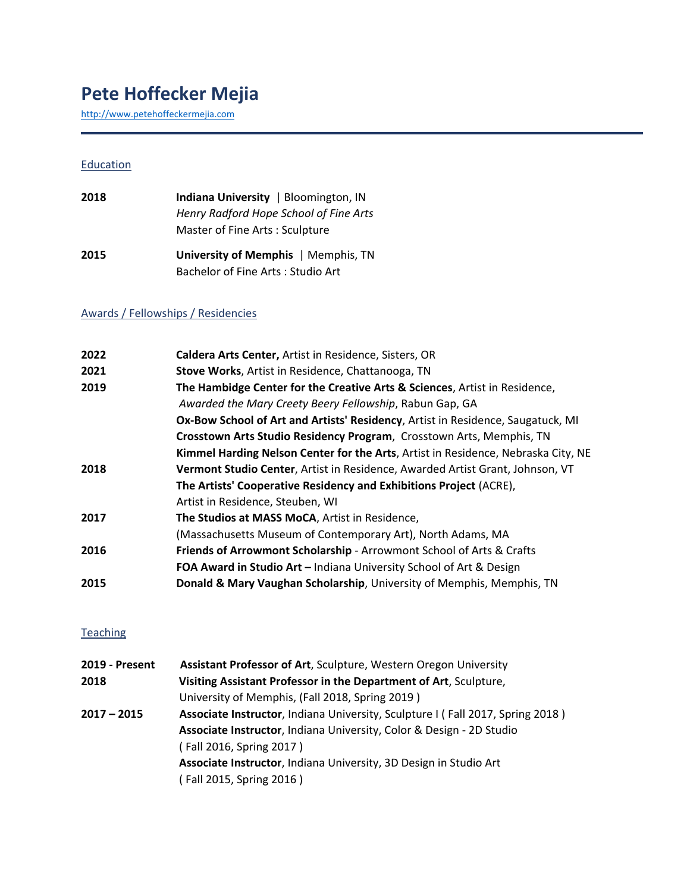# **Pete Hoffecker Mejia**

[http://www.petehoffeckermejia.com](http://www.petehoffeckermejia.com/)

#### **Education**

| 2018 | Indiana University   Bloomington, IN   |
|------|----------------------------------------|
|      | Henry Radford Hope School of Fine Arts |
|      | Master of Fine Arts: Sculpture         |
| 2015 | University of Memphis   Memphis, TN    |
|      | Bachelor of Fine Arts: Studio Art      |

### Awards / Fellowships / Residencies

| 2022 | Caldera Arts Center, Artist in Residence, Sisters, OR                             |
|------|-----------------------------------------------------------------------------------|
| 2021 | Stove Works, Artist in Residence, Chattanooga, TN                                 |
| 2019 | The Hambidge Center for the Creative Arts & Sciences, Artist in Residence,        |
|      | Awarded the Mary Creety Beery Fellowship, Rabun Gap, GA                           |
|      | Ox-Bow School of Art and Artists' Residency, Artist in Residence, Saugatuck, MI   |
|      | Crosstown Arts Studio Residency Program, Crosstown Arts, Memphis, TN              |
|      | Kimmel Harding Nelson Center for the Arts, Artist in Residence, Nebraska City, NE |
| 2018 | Vermont Studio Center, Artist in Residence, Awarded Artist Grant, Johnson, VT     |
|      | The Artists' Cooperative Residency and Exhibitions Project (ACRE),                |
|      | Artist in Residence, Steuben, WI                                                  |
| 2017 | The Studios at MASS MoCA, Artist in Residence,                                    |
|      | (Massachusetts Museum of Contemporary Art), North Adams, MA                       |
| 2016 | Friends of Arrowmont Scholarship - Arrowmont School of Arts & Crafts              |
|      | FOA Award in Studio Art - Indiana University School of Art & Design               |
| 2015 | Donald & Mary Vaughan Scholarship, University of Memphis, Memphis, TN             |
|      |                                                                                   |

#### **Teaching**

| 2019 - Present | <b>Assistant Professor of Art, Sculpture, Western Oregon University</b>        |
|----------------|--------------------------------------------------------------------------------|
| 2018           | Visiting Assistant Professor in the Department of Art, Sculpture,              |
|                | University of Memphis, (Fall 2018, Spring 2019)                                |
| 2017 – 2015    | Associate Instructor, Indiana University, Sculpture I (Fall 2017, Spring 2018) |
|                | Associate Instructor, Indiana University, Color & Design - 2D Studio           |
|                | (Fall 2016, Spring 2017)                                                       |
|                | Associate Instructor, Indiana University, 3D Design in Studio Art              |
|                | (Fall 2015, Spring 2016)                                                       |
|                |                                                                                |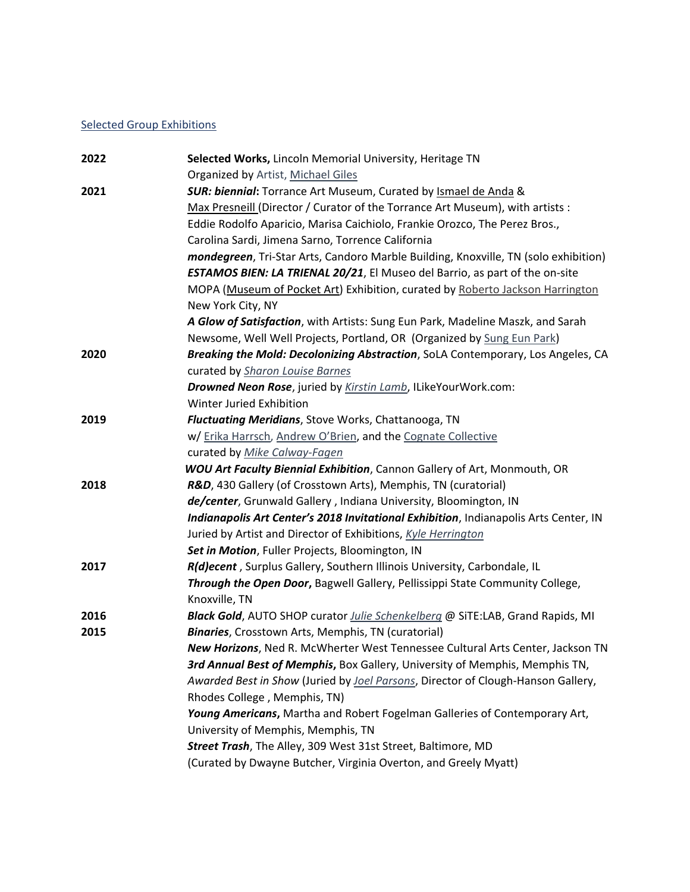### Selected Group Exhibitions

| 2022 | Selected Works, Lincoln Memorial University, Heritage TN                                     |
|------|----------------------------------------------------------------------------------------------|
|      | Organized by Artist, Michael Giles                                                           |
| 2021 | <b>SUR: biennial:</b> Torrance Art Museum, Curated by Ismael de Anda &                       |
|      | Max Presneill (Director / Curator of the Torrance Art Museum), with artists :                |
|      | Eddie Rodolfo Aparicio, Marisa Caichiolo, Frankie Orozco, The Perez Bros.,                   |
|      | Carolina Sardi, Jimena Sarno, Torrence California                                            |
|      | mondegreen, Tri-Star Arts, Candoro Marble Building, Knoxville, TN (solo exhibition)          |
|      | <b>ESTAMOS BIEN: LA TRIENAL 20/21</b> , El Museo del Barrio, as part of the on-site          |
|      | MOPA (Museum of Pocket Art) Exhibition, curated by Roberto Jackson Harrington                |
|      | New York City, NY                                                                            |
|      | A Glow of Satisfaction, with Artists: Sung Eun Park, Madeline Maszk, and Sarah               |
|      | Newsome, Well Well Projects, Portland, OR (Organized by Sung Eun Park)                       |
| 2020 | Breaking the Mold: Decolonizing Abstraction, SoLA Contemporary, Los Angeles, CA              |
|      | curated by Sharon Louise Barnes                                                              |
|      | Drowned Neon Rose, juried by Kirstin Lamb, ILikeYourWork.com:                                |
|      | Winter Juried Exhibition                                                                     |
| 2019 | Fluctuating Meridians, Stove Works, Chattanooga, TN                                          |
|      | w/ Erika Harrsch, Andrew O'Brien, and the Cognate Collective                                 |
|      | curated by Mike Calway-Fagen                                                                 |
|      | <b>WOU Art Faculty Biennial Exhibition</b> , Cannon Gallery of Art, Monmouth, OR             |
| 2018 | R&D, 430 Gallery (of Crosstown Arts), Memphis, TN (curatorial)                               |
|      | de/center, Grunwald Gallery, Indiana University, Bloomington, IN                             |
|      | Indianapolis Art Center's 2018 Invitational Exhibition, Indianapolis Arts Center, IN         |
|      | Juried by Artist and Director of Exhibitions, Kyle Herrington                                |
|      | Set in Motion, Fuller Projects, Bloomington, IN                                              |
| 2017 | R(d)ecent, Surplus Gallery, Southern Illinois University, Carbondale, IL                     |
|      | Through the Open Door, Bagwell Gallery, Pellissippi State Community College,                 |
|      | Knoxville, TN                                                                                |
| 2016 | <b>Black Gold</b> , AUTO SHOP curator <i>Julie Schenkelberg</i> @ SiTE:LAB, Grand Rapids, MI |
| 2015 | <b>Binaries</b> , Crosstown Arts, Memphis, TN (curatorial)                                   |
|      | New Horizons, Ned R. McWherter West Tennessee Cultural Arts Center, Jackson TN               |
|      | 3rd Annual Best of Memphis, Box Gallery, University of Memphis, Memphis TN,                  |
|      | Awarded Best in Show (Juried by Joel Parsons, Director of Clough-Hanson Gallery,             |
|      | Rhodes College, Memphis, TN)                                                                 |
|      | Young Americans, Martha and Robert Fogelman Galleries of Contemporary Art,                   |
|      | University of Memphis, Memphis, TN                                                           |
|      | Street Trash, The Alley, 309 West 31st Street, Baltimore, MD                                 |
|      | (Curated by Dwayne Butcher, Virginia Overton, and Greely Myatt)                              |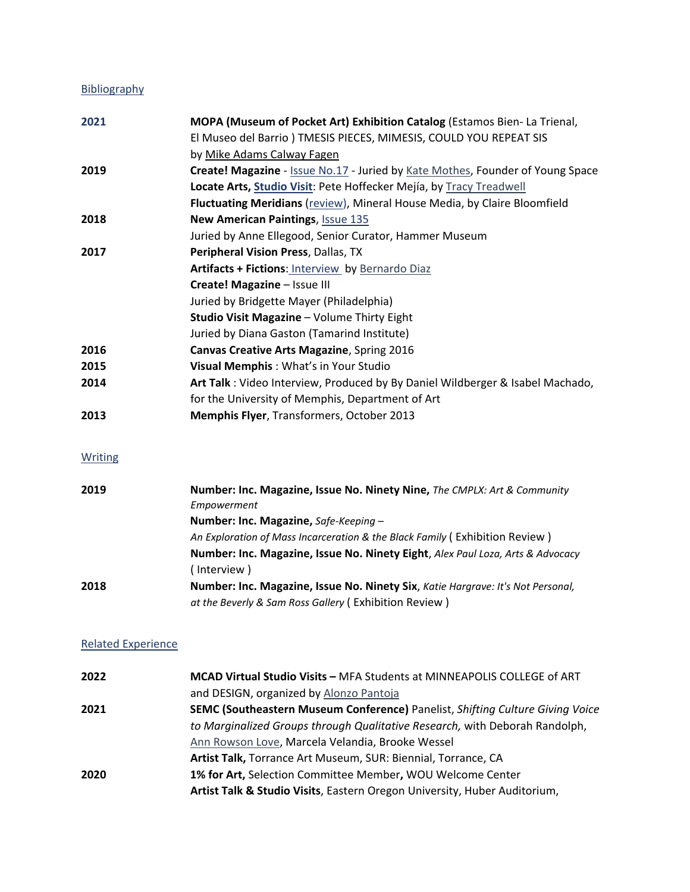## Bibliography

| 2021    | MOPA (Museum of Pocket Art) Exhibition Catalog (Estamos Bien-La Trienal,       |
|---------|--------------------------------------------------------------------------------|
|         | El Museo del Barrio) TMESIS PIECES, MIMESIS, COULD YOU REPEAT SIS              |
|         | by Mike Adams Calway Fagen                                                     |
| 2019    | Create! Magazine - Issue No.17 - Juried by Kate Mothes, Founder of Young Space |
|         | Locate Arts, Studio Visit: Pete Hoffecker Mejía, by Tracy Treadwell            |
|         | Fluctuating Meridians (review), Mineral House Media, by Claire Bloomfield      |
| 2018    | New American Paintings, Issue 135                                              |
|         | Juried by Anne Ellegood, Senior Curator, Hammer Museum                         |
| 2017    | Peripheral Vision Press, Dallas, TX                                            |
|         | Artifacts + Fictions: Interview by Bernardo Diaz                               |
|         | Create! Magazine - Issue III                                                   |
|         | Juried by Bridgette Mayer (Philadelphia)                                       |
|         | Studio Visit Magazine - Volume Thirty Eight                                    |
|         | Juried by Diana Gaston (Tamarind Institute)                                    |
| 2016    | Canvas Creative Arts Magazine, Spring 2016                                     |
| 2015    | Visual Memphis: What's in Your Studio                                          |
| 2014    | Art Talk: Video Interview, Produced by By Daniel Wildberger & Isabel Machado,  |
|         | for the University of Memphis, Department of Art                               |
| 2013    | Memphis Flyer, Transformers, October 2013                                      |
| Writing |                                                                                |
| 2019    | Number: Inc. Magazine, Issue No. Ninety Nine, The CMPLX: Art & Community       |
|         | Empowerment                                                                    |
|         | Number: Inc. Magazine, Safe-Keeping -                                          |

|      | An Exploration of Mass Incarceration & the Black Family (Exhibition Review)     |
|------|---------------------------------------------------------------------------------|
|      | Number: Inc. Magazine, Issue No. Ninety Eight, Alex Paul Loza, Arts & Advocacy  |
|      | ( Interview )                                                                   |
| 2018 | Number: Inc. Magazine, Issue No. Ninety Six, Katie Hargrave: It's Not Personal, |
|      | at the Beverly & Sam Ross Gallery (Exhibition Review)                           |

#### Related Experience

| 2022 | MCAD Virtual Studio Visits - MFA Students at MINNEAPOLIS COLLEGE of ART              |
|------|--------------------------------------------------------------------------------------|
|      | and DESIGN, organized by Alonzo Pantoja                                              |
| 2021 | <b>SEMC (Southeastern Museum Conference)</b> Panelist, Shifting Culture Giving Voice |
|      | to Marginalized Groups through Qualitative Research, with Deborah Randolph,          |
|      | Ann Rowson Love, Marcela Velandia, Brooke Wessel                                     |
|      | Artist Talk, Torrance Art Museum, SUR: Biennial, Torrance, CA                        |
| 2020 | 1% for Art, Selection Committee Member, WOU Welcome Center                           |
|      | Artist Talk & Studio Visits, Eastern Oregon University, Huber Auditorium,            |